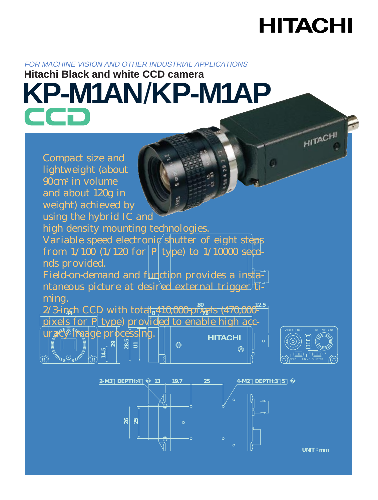### **HITACHI**

#### FOR MACHINE VISION AND OTHER INDUSTRIAL APPLICATIONS

# **Hitachi Black and white CCD camera KP-M1AN**/**KP-M1AP**





**UNIT : mm**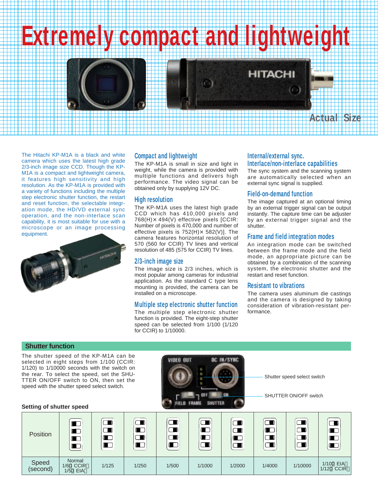## **Extremely compact and lightweight**

#### The Hitachi KP-M1A is a black and white camera which uses the latest high grade 2/3-inch image size CCD. Though the KP-M1A is a compact and lightweight camera, it features high sensitivity and high resolution. As the KP-M1A is provided with a variety of functions including the multiple step electronic shutter function, the restart and reset function, the selectable integration mode, the HD/VD external sync operation, and the non-interlace scan capability, it is most suitable for use with a microscope or an image processing equipment.



#### **Compact and lightweight Internal/external sync.**

The KP-M1A is small in size and light in weight, while the camera is provided with multiple functions and delivers high performance. The video signal can be obtained only by supplying 12V DC.

#### **High resolution**

The KP-M1A uses the latest high grade CCD which has 410,000 pixels and 768(H)×494(V) effective pixels [CCIR: Number of pixels is 470,000 and number of effective pixels is  $752(H) \times 582(V)$ ]. The camera features horizontal resolution of 570 (560 for CCIR) TV lines and vertical resolution of 485 (575 for CCIR) TV lines.

#### **2/3-inch image size**

The image size is 2/3 inches, which is most popular among cameras for industrial application. As the standard C type lens mounting is provided, the camera can be installed on a microscope.

#### **Multiple step electronic shutter function**

The multiple step electronic shutter function is provided. The eight-step shutter speed can be selected from 1/100 (1/120 for CCIR) to 1/10000.

### **Interlace/non-interlace capabilities**

The sync system and the scanning system are automatically selected when an external sync signal is supplied.

**Actual Size**

#### **Field-on-demand function**

**HITACHI** 

The image captured at an optional timing by an external trigger signal can be output instantly. The capture time can be adjuster by an external trigger signal and the shutter.

#### **Frame and field integration modes**

An integration mode can be switched between the frame mode and the field mode, an appropriate picture can be obtained by a combination of the scanning system, the electronic shutter and the restart and reset function.

#### **Resistant to vibrations**

The camera uses aluminum die castings and the camera is designed by taking consideration of vibration-resistant performance.

#### **Shutter function**

The shutter speed of the KP-M1A can be selected in eight steps from 1/100 (CCIR: 1/120) to 1/10000 seconds with the switch on the rear. To select the speed, set the SHU-TTER ON/OFF switch to ON, then set the speed with the shutter speed select switch.



Shutter speed select switch

SHUTTER ON/OFF switch

#### **Setting of shutter speed**

| Position          | O<br>r<br>$\blacksquare$<br>$\blacksquare$ |       | ( III)<br>'n D<br>▁ | ਢ<br>$\Box$<br>$\blacksquare$<br>$\blacksquare$ | $\Box$<br>$\blacksquare$<br>$\blacksquare$<br>$\Box$ | ப<br>u | $\Box$<br>$\blacksquare$<br>▔▊<br>$\Box$ | $\Box$<br>$\Box$<br>$\Box$ |                         |
|-------------------|--------------------------------------------|-------|---------------------|-------------------------------------------------|------------------------------------------------------|--------|------------------------------------------|----------------------------|-------------------------|
| Speed<br>(second) | Normal<br><b>1/60 CCIR</b><br>1/50 EIA     | 1/125 | 1/250               | 1/500                                           | 1/1000                                               | 1/2000 | 1/4000                                   | 1/10000                    | 1/100 EIA<br>1/120 CCIR |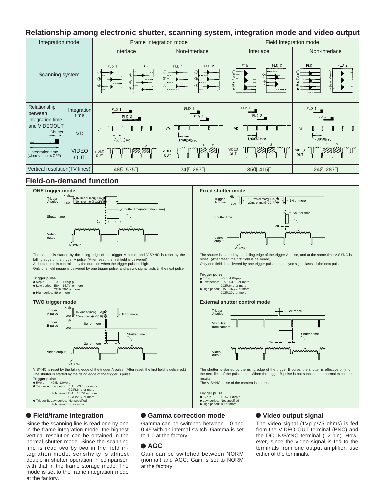#### **Relationship among electronic shutter, scanning system, integration mode and video output**

| Integration mode                                                     |                            |                               | Frame Integration mode                                            | Field Integration mode                           |                                          |  |
|----------------------------------------------------------------------|----------------------------|-------------------------------|-------------------------------------------------------------------|--------------------------------------------------|------------------------------------------|--|
| Scanning system                                                      |                            | Interlace                     | Non-interlace                                                     | Interlace                                        | Non-interlace                            |  |
|                                                                      |                            | FLD 2<br>FLD 1<br>⊕<br>3<br>٦ | FLD 2<br>FLD 1<br>$\circled{0}$<br>$\circled{3}$<br>3<br>6<br>(5) | FLD <sub>2</sub><br>FLD 1<br>$\mathcal{C}$<br>a, | FLD 2<br>FLD 1<br>3                      |  |
| Relationship<br>between<br>integration time                          | Integration<br>time        | FLD 1<br>FLD 2                | FLD 1<br>FLD2                                                     | FLD 1<br>FLD 2                                   | FLD 1<br>FLD 2                           |  |
| and VIDEOOUT<br>Shutter<br>Integration time<br>(when shutter is OFF) | <b>VD</b>                  | <b>VD</b><br>1/60(50)sec      | VD<br>$1/60(50)$ sec                                              | VD<br>$1/60(50)$ sec                             | VD<br>$1/60(50)$ sec                     |  |
|                                                                      | <b>VIDEO</b><br><b>OUT</b> | <b>VIDEO</b><br>OUT           | $\overline{\phantom{a}}$<br>VIDEO<br>OUT                          | $\overline{c}$<br>VIDEO<br>OUT                   | $\overline{\phantom{a}}$<br>VIDEO<br>OUT |  |
| Vertical resolution(TV lines)                                        |                            | 485 575                       | 242 287                                                           | 350 415                                          | 242 287                                  |  |

#### **Field-on-demand function**



#### **Field/frame integration**

Since the scanning line is read one by one in the frame integration mode, the highest vertical resolution can be obtained in the normal shutter mode. Since the scanning line is read two by two in the field integration mode, sensitivity is almost double in shutter operation in comparison with that in the frame storage mode. The mode is set to the frame integration mode at the factory.

#### **Gamma correction mode**

Gamma can be switched between 1.0 and 0.45 with an internal switch. Gamma is set to 1.0 at the factory.

#### **AGC**

Gain can be switched between NORM (normal) and AGC. Gain is set to NORM at the factory.

#### **Video output signal**

The video signal (1Vp-p/75 ohms) is fed from the VIDEO OUT terminal (BNC) and the DC IN/SYNC terminal (12-pin). However, since the video signal is fed to the terminals from one output amplifier, use either of the terminals.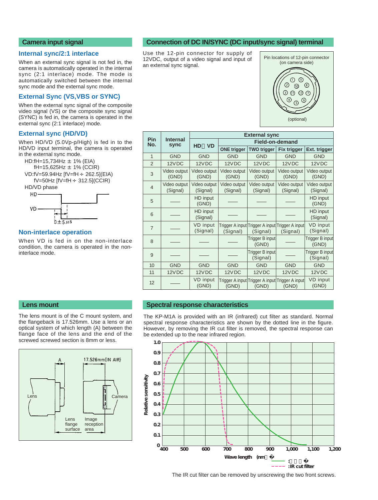#### **Camera input signal**

#### **Internal sync/2:1 interlace**

When an external sync signal is not fed in, the camera is automatically operated in the internal sync (2:1 interlace) mode. The mode is automatically switched between the internal sync mode and the external sync mode.

#### **External Sync (VS,VBS or SYNC)**

When the external sync signal of the composite video signal (VS) or the composite sync signal (SYNC) is fed in, the camera is operated in the external sync (2:1 interlace) mode.

#### **External sync (HD/VD)**

When HD/VD (5.0Vp-p/High) is fed in to the HD/VD input terminal, the camera is operated in the external sync mode.





#### **Non-interlace operation**

Lens

When VD is fed in on the non-interlace condition, the camera is operated in the noninterlace mode.

The lens mount is of the C mount system, and the flangeback is 17.526mm. Use a lens or an optical system of which length (A) between the flange face of the lens and the end of the screwed screwed section is 8mm or less.

> Lens flange surface

Image reception area

17.526mm(IN AIR)

Camera

#### **Connection of DC IN/SYNC (DC input/sync signal) terminal**

Use the 12-pin connector for supply of 12VDC, output of a video signal and input of an external sync signal.



|                   |                          | <b>External sync</b>        |                          |                                                             |                          |                             |  |  |
|-------------------|--------------------------|-----------------------------|--------------------------|-------------------------------------------------------------|--------------------------|-----------------------------|--|--|
| <b>Pin</b><br>No. | <b>Internal</b><br>sync  |                             | <b>Field-on-demand</b>   |                                                             |                          |                             |  |  |
|                   |                          | <b>HD</b><br><b>VD</b>      | <b>ONE trigger</b>       | <b>TWO trigger</b>                                          | <b>Fix trigger</b>       | Ext. trigger                |  |  |
| $\mathbf{1}$      | <b>GND</b>               | <b>GND</b>                  | <b>GND</b>               | <b>GND</b>                                                  | <b>GND</b>               | <b>GND</b>                  |  |  |
| $\overline{2}$    | 12VDC                    | 12VDC                       | 12VDC                    | 12VDC                                                       | 12VDC                    | 12VDC                       |  |  |
| 3                 | Video output<br>(GND)    | Video output<br>(GND)       | Video output<br>(GND)    | Video output<br>(GND)                                       | Video output<br>(GND)    | Video output<br>(GND)       |  |  |
| $\overline{4}$    | Video output<br>(Signal) | Video output<br>(Signal)    | Video output<br>(Signal) | Video output<br>(Signal)                                    | Video output<br>(Signal) | Video output<br>(Signal)    |  |  |
| 5                 |                          | HD input<br>(GND)           |                          |                                                             |                          | HD input<br>(GND)           |  |  |
| 6                 |                          | HD input<br>(Signal)        |                          |                                                             |                          | HD input<br>(Signal)        |  |  |
| $\overline{7}$    |                          | <b>VD</b> input<br>(Signal) | (Signal)                 | Trigger A input Trigger A input Trigger A input<br>(Signal) | (Signal)                 | VD input<br>(Signal)        |  |  |
| 8                 |                          |                             |                          | Trigger B input<br>(GND)                                    |                          | Trigger B input<br>(GND)    |  |  |
| 9                 |                          |                             |                          | Trigger B input<br>(Signal)                                 |                          | Trigger B input<br>(Signal) |  |  |
| 10                | <b>GND</b>               | <b>GND</b>                  | <b>GND</b>               | <b>GND</b>                                                  | <b>GND</b>               | <b>GND</b>                  |  |  |
| 11                | 12VDC                    | 12VDC                       | 12VDC                    | 12VDC                                                       | 12VDC                    | 12VDC                       |  |  |
| 12                |                          | VD input<br>(GND)           | (GND)                    | Trigger A input Trigger A input Trigger A input <br>(GND)   | (GND)                    | VD input<br>(GND)           |  |  |

#### **Lens mount Spectral response characteristics**

The KP-M1A is provided with an IR (infrared) cut filter as standard. Normal spectral response characteristics are shown by the dotted line in the figure. However, by removing the IR cut filter is removed, the spectral response can be extended up to the near infrared region.



The IR cut filter can be removed by unscrewing the two front screws.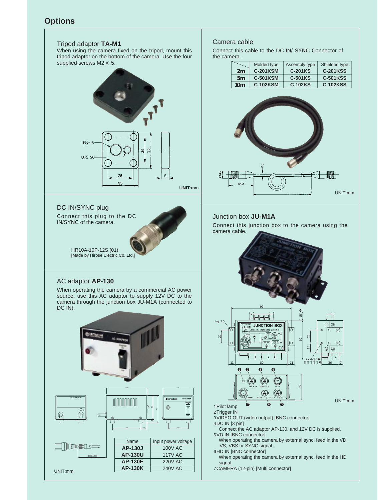#### **Options**



15<br>15<br>15

 $2 \times 4 - 3$  $\frac{1}{26}$  26  $\frac{1}{27}$ 

 $\circledcirc$ 

 $\circ$ 

ශ ඬ

UNIT:mm

UNIT:mm

₩₩